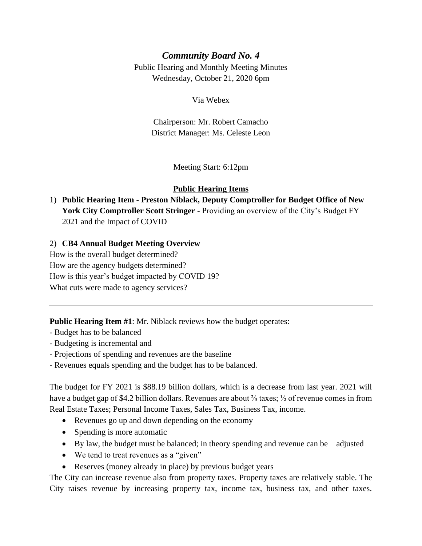# *Community Board No. 4*

Public Hearing and Monthly Meeting Minutes Wednesday, October 21, 2020 6pm

Via Webex

Chairperson: Mr. Robert Camacho District Manager: Ms. Celeste Leon

Meeting Start: 6:12pm

#### **Public Hearing Items**

1) **Public Hearing Item - Preston Niblack, Deputy Comptroller for Budget Office of New**  York City Comptroller Scott Stringer - Providing an overview of the City's Budget FY 2021 and the Impact of COVID

#### 2) **CB4 Annual Budget Meeting Overview**

How is the overall budget determined? How are the agency budgets determined? How is this year's budget impacted by COVID 19? What cuts were made to agency services?

**Public Hearing Item #1**: Mr. Niblack reviews how the budget operates:

- Budget has to be balanced
- Budgeting is incremental and
- Projections of spending and revenues are the baseline
- Revenues equals spending and the budget has to be balanced.

The budget for FY 2021 is \$88.19 billion dollars, which is a decrease from last year. 2021 will have a budget gap of \$4.2 billion dollars. Revenues are about ⅔ taxes; ½ of revenue comes in from Real Estate Taxes; Personal Income Taxes, Sales Tax, Business Tax, income.

- Revenues go up and down depending on the economy
- Spending is more automatic
- By law, the budget must be balanced; in theory spending and revenue can be adjusted
- We tend to treat revenues as a "given"
- Reserves (money already in place) by previous budget years

The City can increase revenue also from property taxes. Property taxes are relatively stable. The City raises revenue by increasing property tax, income tax, business tax, and other taxes.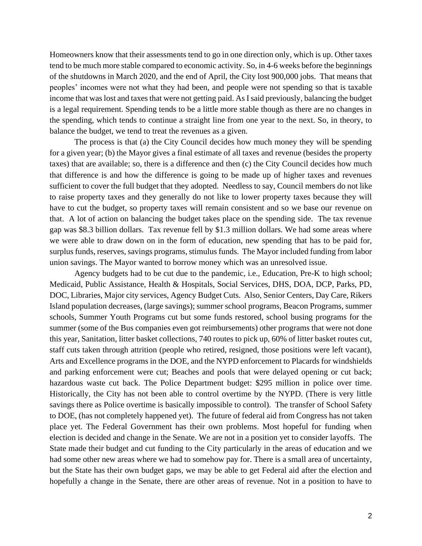Homeowners know that their assessments tend to go in one direction only, which is up. Other taxes tend to be much more stable compared to economic activity. So, in 4-6 weeks before the beginnings of the shutdowns in March 2020, and the end of April, the City lost 900,000 jobs. That means that peoples' incomes were not what they had been, and people were not spending so that is taxable income that was lost and taxes that were not getting paid. As I said previously, balancing the budget is a legal requirement. Spending tends to be a little more stable though as there are no changes in the spending, which tends to continue a straight line from one year to the next. So, in theory, to balance the budget, we tend to treat the revenues as a given.

The process is that (a) the City Council decides how much money they will be spending for a given year; (b) the Mayor gives a final estimate of all taxes and revenue (besides the property taxes) that are available; so, there is a difference and then (c) the City Council decides how much that difference is and how the difference is going to be made up of higher taxes and revenues sufficient to cover the full budget that they adopted. Needless to say, Council members do not like to raise property taxes and they generally do not like to lower property taxes because they will have to cut the budget, so property taxes will remain consistent and so we base our revenue on that. A lot of action on balancing the budget takes place on the spending side. The tax revenue gap was \$8.3 billion dollars. Tax revenue fell by \$1.3 million dollars. We had some areas where we were able to draw down on in the form of education, new spending that has to be paid for, surplus funds, reserves, savings programs, stimulus funds. The Mayor included funding from labor union savings. The Mayor wanted to borrow money which was an unresolved issue.

Agency budgets had to be cut due to the pandemic, i.e., Education, Pre-K to high school; Medicaid, Public Assistance, Health & Hospitals, Social Services, DHS, DOA, DCP, Parks, PD, DOC, Libraries, Major city services, Agency Budget Cuts. Also, Senior Centers, Day Care, Rikers Island population decreases, (large savings); summer school programs, Beacon Programs, summer schools, Summer Youth Programs cut but some funds restored, school busing programs for the summer (some of the Bus companies even got reimbursements) other programs that were not done this year, Sanitation, litter basket collections, 740 routes to pick up, 60% of litter basket routes cut, staff cuts taken through attrition (people who retired, resigned, those positions were left vacant), Arts and Excellence programs in the DOE, and the NYPD enforcement to Placards for windshields and parking enforcement were cut; Beaches and pools that were delayed opening or cut back; hazardous waste cut back. The Police Department budget: \$295 million in police over time. Historically, the City has not been able to control overtime by the NYPD. (There is very little savings there as Police overtime is basically impossible to control). The transfer of School Safety to DOE, (has not completely happened yet). The future of federal aid from Congress has not taken place yet. The Federal Government has their own problems. Most hopeful for funding when election is decided and change in the Senate. We are not in a position yet to consider layoffs. The State made their budget and cut funding to the City particularly in the areas of education and we had some other new areas where we had to somehow pay for. There is a small area of uncertainty, but the State has their own budget gaps, we may be able to get Federal aid after the election and hopefully a change in the Senate, there are other areas of revenue. Not in a position to have to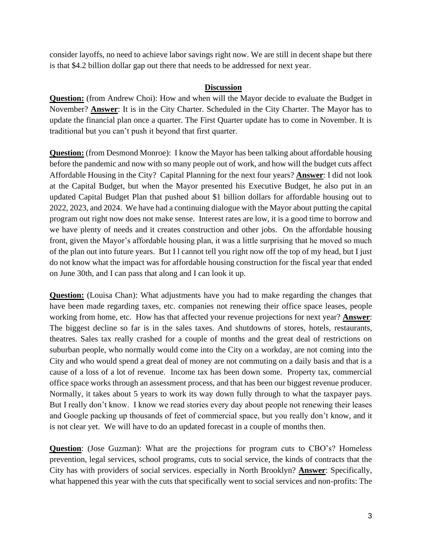consider layoffs, no need to achieve labor savings right now. We are still in decent shape but there is that \$4.2 billion dollar gap out there that needs to be addressed for next year.

#### **Discussion**

**Question:** (from Andrew Choi): How and when will the Mayor decide to evaluate the Budget in November? **Answer**: It is in the City Charter. Scheduled in the City Charter. The Mayor has to update the financial plan once a quarter. The First Quarter update has to come in November. It is traditional but you can't push it beyond that first quarter.

**Question:** (from Desmond Monroe): I know the Mayor has been talking about affordable housing before the pandemic and now with so many people out of work, and how will the budget cuts affect Affordable Housing in the City? Capital Planning for the next four years? **Answer**: I did not look at the Capital Budget, but when the Mayor presented his Executive Budget, he also put in an updated Capital Budget Plan that pushed about \$1 billion dollars for affordable housing out to 2022, 2023, and 2024. We have had a continuing dialogue with the Mayor about putting the capital program out right now does not make sense. Interest rates are low, it is a good time to borrow and we have plenty of needs and it creates construction and other jobs. On the affordable housing front, given the Mayor's affordable housing plan, it was a little surprising that he moved so much of the plan out into future years. But I l cannot tell you right now off the top of my head, but I just do not know what the impact was for affordable housing construction for the fiscal year that ended on June 30th, and I can pass that along and I can look it up.

**Question:** (Louisa Chan): What adjustments have you had to make regarding the changes that have been made regarding taxes, etc. companies not renewing their office space leases, people working from home, etc. How has that affected your revenue projections for next year? **Answer**: The biggest decline so far is in the sales taxes. And shutdowns of stores, hotels, restaurants, theatres. Sales tax really crashed for a couple of months and the great deal of restrictions on suburban people, who normally would come into the City on a workday, are not coming into the City and who would spend a great deal of money are not commuting on a daily basis and that is a cause of a loss of a lot of revenue. Income tax has been down some. Property tax, commercial office space works through an assessment process, and that has been our biggest revenue producer. Normally, it takes about 5 years to work its way down fully through to what the taxpayer pays. But I really don't know. I know we read stories every day about people not renewing their leases and Google packing up thousands of feet of commercial space, but you really don't know, and it is not clear yet. We will have to do an updated forecast in a couple of months then.

**Question**: (Jose Guzman): What are the projections for program cuts to CBO's? Homeless prevention, legal services, school programs, cuts to social service, the kinds of contracts that the City has with providers of social services. especially in North Brooklyn? **Answer**: Specifically, what happened this year with the cuts that specifically went to social services and non-profits: The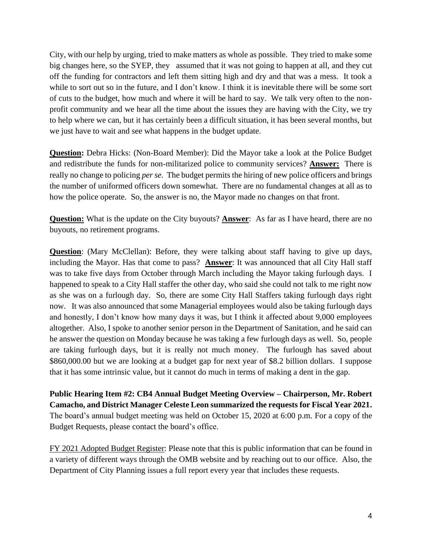City, with our help by urging, tried to make matters as whole as possible. They tried to make some big changes here, so the SYEP, they assumed that it was not going to happen at all, and they cut off the funding for contractors and left them sitting high and dry and that was a mess. It took a while to sort out so in the future, and I don't know. I think it is inevitable there will be some sort of cuts to the budget, how much and where it will be hard to say. We talk very often to the nonprofit community and we hear all the time about the issues they are having with the City, we try to help where we can, but it has certainly been a difficult situation, it has been several months, but we just have to wait and see what happens in the budget update.

**Question:** Debra Hicks: (Non-Board Member): Did the Mayor take a look at the Police Budget and redistribute the funds for non-militarized police to community services? **Answer:** There is really no change to policing *per se*. The budget permits the hiring of new police officers and brings the number of uniformed officers down somewhat. There are no fundamental changes at all as to how the police operate. So, the answer is no, the Mayor made no changes on that front.

**Question:** What is the update on the City buyouts? **Answer**: As far as I have heard, there are no buyouts, no retirement programs.

**Question**: (Mary McClellan): Before, they were talking about staff having to give up days, including the Mayor. Has that come to pass? **Answer**: It was announced that all City Hall staff was to take five days from October through March including the Mayor taking furlough days. I happened to speak to a City Hall staffer the other day, who said she could not talk to me right now as she was on a furlough day. So, there are some City Hall Staffers taking furlough days right now. It was also announced that some Managerial employees would also be taking furlough days and honestly, I don't know how many days it was, but I think it affected about 9,000 employees altogether. Also, I spoke to another senior person in the Department of Sanitation, and he said can he answer the question on Monday because he was taking a few furlough days as well. So, people are taking furlough days, but it is really not much money. The furlough has saved about \$860,000.00 but we are looking at a budget gap for next year of \$8.2 billion dollars. I suppose that it has some intrinsic value, but it cannot do much in terms of making a dent in the gap.

**Public Hearing Item #2: CB4 Annual Budget Meeting Overview – Chairperson, Mr. Robert Camacho, and District Manager Celeste Leon summarized the requests for Fiscal Year 2021.** The board's annual budget meeting was held on October 15, 2020 at 6:00 p.m. For a copy of the Budget Requests, please contact the board's office.

FY 2021 Adopted Budget Register: Please note that this is public information that can be found in a variety of different ways through the OMB website and by reaching out to our office. Also, the Department of City Planning issues a full report every year that includes these requests.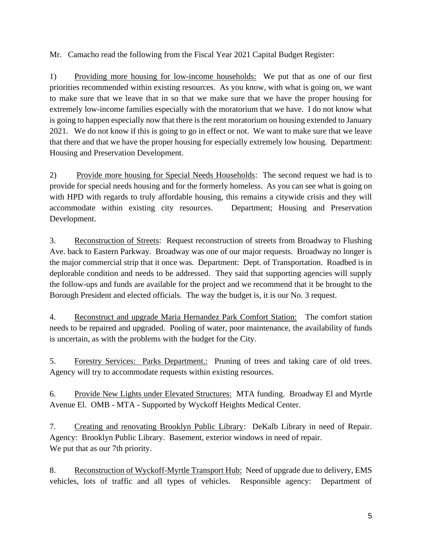Mr. Camacho read the following from the Fiscal Year 2021 Capital Budget Register:

1) Providing more housing for low-income households: We put that as one of our first priorities recommended within existing resources. As you know, with what is going on, we want to make sure that we leave that in so that we make sure that we have the proper housing for extremely low-income families especially with the moratorium that we have. I do not know what is going to happen especially now that there is the rent moratorium on housing extended to January 2021. We do not know if this is going to go in effect or not. We want to make sure that we leave that there and that we have the proper housing for especially extremely low housing. Department: Housing and Preservation Development.

2) Provide more housing for Special Needs Households: The second request we had is to provide for special needs housing and for the formerly homeless. As you can see what is going on with HPD with regards to truly affordable housing, this remains a citywide crisis and they will accommodate within existing city resources. Department; Housing and Preservation Development.

3. Reconstruction of Streets: Request reconstruction of streets from Broadway to Flushing Ave. back to Eastern Parkway. Broadway was one of our major requests. Broadway no longer is the major commercial strip that it once was. Department: Dept. of Transportation. Roadbed is in deplorable condition and needs to be addressed. They said that supporting agencies will supply the follow-ups and funds are available for the project and we recommend that it be brought to the Borough President and elected officials. The way the budget is, it is our No. 3 request.

4. Reconstruct and upgrade Maria Hernandez Park Comfort Station: The comfort station needs to be repaired and upgraded. Pooling of water, poor maintenance, the availability of funds is uncertain, as with the problems with the budget for the City.

5. Forestry Services: Parks Department.: Pruning of trees and taking care of old trees. Agency will try to accommodate requests within existing resources.

6. Provide New Lights under Elevated Structures: MTA funding. Broadway El and Myrtle Avenue El. OMB - MTA - Supported by Wyckoff Heights Medical Center.

7. Creating and renovating Brooklyn Public Library: DeKalb Library in need of Repair. Agency: Brooklyn Public Library. Basement, exterior windows in need of repair. We put that as our 7th priority.

8. Reconstruction of Wyckoff-Myrtle Transport Hub: Need of upgrade due to delivery, EMS vehicles, lots of traffic and all types of vehicles. Responsible agency: Department of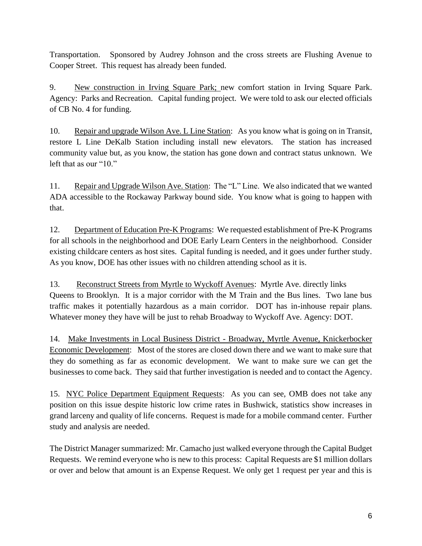Transportation. Sponsored by Audrey Johnson and the cross streets are Flushing Avenue to Cooper Street. This request has already been funded.

9. New construction in Irving Square Park; new comfort station in Irving Square Park. Agency: Parks and Recreation. Capital funding project. We were told to ask our elected officials of CB No. 4 for funding.

10. Repair and upgrade Wilson Ave. L Line Station: As you know what is going on in Transit, restore L Line DeKalb Station including install new elevators. The station has increased community value but, as you know, the station has gone down and contract status unknown. We left that as our "10."

11. Repair and Upgrade Wilson Ave. Station: The "L" Line. We also indicated that we wanted ADA accessible to the Rockaway Parkway bound side. You know what is going to happen with that.

12. Department of Education Pre-K Programs: We requested establishment of Pre-K Programs for all schools in the neighborhood and DOE Early Learn Centers in the neighborhood. Consider existing childcare centers as host sites. Capital funding is needed, and it goes under further study. As you know, DOE has other issues with no children attending school as it is.

13. Reconstruct Streets from Myrtle to Wyckoff Avenues: Myrtle Ave. directly links Queens to Brooklyn. It is a major corridor with the M Train and the Bus lines. Two lane bus traffic makes it potentially hazardous as a main corridor. DOT has in-inhouse repair plans. Whatever money they have will be just to rehab Broadway to Wyckoff Ave. Agency: DOT.

14. Make Investments in Local Business District - Broadway, Myrtle Avenue, Knickerbocker Economic Development: Most of the stores are closed down there and we want to make sure that they do something as far as economic development. We want to make sure we can get the businesses to come back. They said that further investigation is needed and to contact the Agency.

15. NYC Police Department Equipment Requests: As you can see, OMB does not take any position on this issue despite historic low crime rates in Bushwick, statistics show increases in grand larceny and quality of life concerns. Request is made for a mobile command center. Further study and analysis are needed.

The District Manager summarized: Mr. Camacho just walked everyone through the Capital Budget Requests. We remind everyone who is new to this process: Capital Requests are \$1 million dollars or over and below that amount is an Expense Request. We only get 1 request per year and this is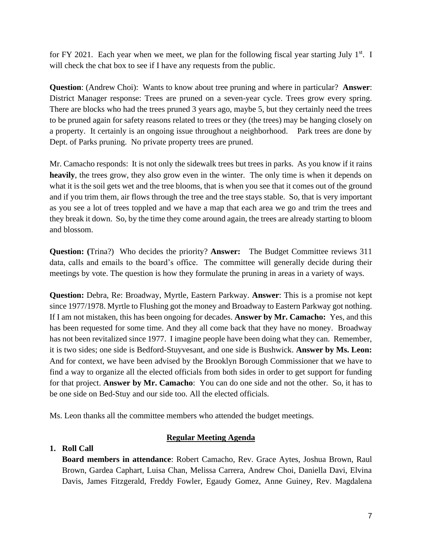for FY 2021. Each year when we meet, we plan for the following fiscal year starting July  $1<sup>st</sup>$ . I will check the chat box to see if I have any requests from the public.

**Question**: (Andrew Choi): Wants to know about tree pruning and where in particular? **Answer**: District Manager response: Trees are pruned on a seven-year cycle. Trees grow every spring. There are blocks who had the trees pruned 3 years ago, maybe 5, but they certainly need the trees to be pruned again for safety reasons related to trees or they (the trees) may be hanging closely on a property. It certainly is an ongoing issue throughout a neighborhood. Park trees are done by Dept. of Parks pruning. No private property trees are pruned.

Mr. Camacho responds: It is not only the sidewalk trees but trees in parks. As you know if it rains heavily, the trees grow, they also grow even in the winter. The only time is when it depends on what it is the soil gets wet and the tree blooms, that is when you see that it comes out of the ground and if you trim them, air flows through the tree and the tree stays stable. So, that is very important as you see a lot of trees toppled and we have a map that each area we go and trim the trees and they break it down. So, by the time they come around again, the trees are already starting to bloom and blossom.

**Question: (**Trina?) Who decides the priority? **Answer:** The Budget Committee reviews 311 data, calls and emails to the board's office. The committee will generally decide during their meetings by vote. The question is how they formulate the pruning in areas in a variety of ways.

**Question:** Debra, Re: Broadway, Myrtle, Eastern Parkway. **Answer**: This is a promise not kept since 1977/1978. Myrtle to Flushing got the money and Broadway to Eastern Parkway got nothing. If I am not mistaken, this has been ongoing for decades. **Answer by Mr. Camacho:** Yes, and this has been requested for some time. And they all come back that they have no money. Broadway has not been revitalized since 1977. I imagine people have been doing what they can. Remember, it is two sides; one side is Bedford-Stuyvesant, and one side is Bushwick. **Answer by Ms. Leon:**  And for context, we have been advised by the Brooklyn Borough Commissioner that we have to find a way to organize all the elected officials from both sides in order to get support for funding for that project. **Answer by Mr. Camacho**: You can do one side and not the other. So, it has to be one side on Bed-Stuy and our side too. All the elected officials.

Ms. Leon thanks all the committee members who attended the budget meetings.

#### **Regular Meeting Agenda**

#### **1. Roll Call**

**Board members in attendance**: Robert Camacho, Rev. Grace Aytes, Joshua Brown, Raul Brown, Gardea Caphart, Luisa Chan, Melissa Carrera, Andrew Choi, Daniella Davi, Elvina Davis, James Fitzgerald, Freddy Fowler, Egaudy Gomez, Anne Guiney, Rev. Magdalena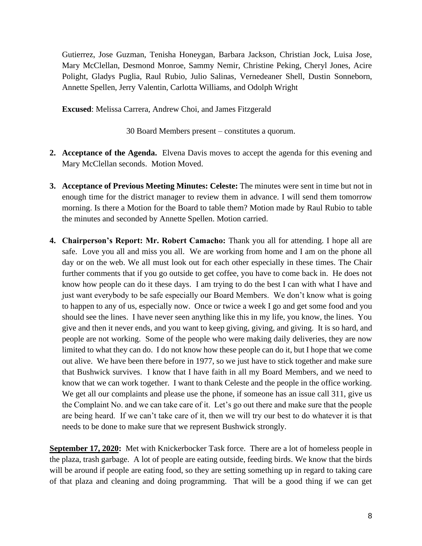Gutierrez, Jose Guzman, Tenisha Honeygan, Barbara Jackson, Christian Jock, Luisa Jose, Mary McClellan, Desmond Monroe, Sammy Nemir, Christine Peking, Cheryl Jones, Acire Polight, Gladys Puglia, Raul Rubio, Julio Salinas, Vernedeaner Shell, Dustin Sonneborn, Annette Spellen, Jerry Valentin, Carlotta Williams, and Odolph Wright

**Excused**: Melissa Carrera, Andrew Choi, and James Fitzgerald

30 Board Members present – constitutes a quorum.

- **2. Acceptance of the Agenda.** Elvena Davis moves to accept the agenda for this evening and Mary McClellan seconds. Motion Moved.
- **3. Acceptance of Previous Meeting Minutes: Celeste:** The minutes were sent in time but not in enough time for the district manager to review them in advance. I will send them tomorrow morning. Is there a Motion for the Board to table them? Motion made by Raul Rubio to table the minutes and seconded by Annette Spellen. Motion carried.
- **4. Chairperson's Report: Mr. Robert Camacho:** Thank you all for attending. I hope all are safe. Love you all and miss you all. We are working from home and I am on the phone all day or on the web. We all must look out for each other especially in these times. The Chair further comments that if you go outside to get coffee, you have to come back in. He does not know how people can do it these days. I am trying to do the best I can with what I have and just want everybody to be safe especially our Board Members. We don't know what is going to happen to any of us, especially now. Once or twice a week I go and get some food and you should see the lines. I have never seen anything like this in my life, you know, the lines. You give and then it never ends, and you want to keep giving, giving, and giving. It is so hard, and people are not working. Some of the people who were making daily deliveries, they are now limited to what they can do. I do not know how these people can do it, but I hope that we come out alive. We have been there before in 1977, so we just have to stick together and make sure that Bushwick survives. I know that I have faith in all my Board Members, and we need to know that we can work together. I want to thank Celeste and the people in the office working. We get all our complaints and please use the phone, if someone has an issue call 311, give us the Complaint No. and we can take care of it. Let's go out there and make sure that the people are being heard. If we can't take care of it, then we will try our best to do whatever it is that needs to be done to make sure that we represent Bushwick strongly.

**September 17, 2020:** Met with Knickerbocker Task force. There are a lot of homeless people in the plaza, trash garbage. A lot of people are eating outside, feeding birds. We know that the birds will be around if people are eating food, so they are setting something up in regard to taking care of that plaza and cleaning and doing programming. That will be a good thing if we can get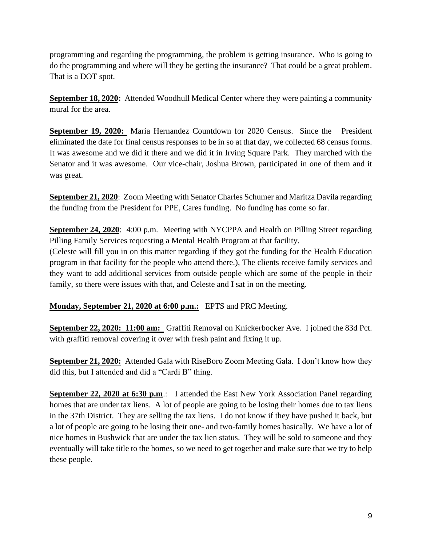programming and regarding the programming, the problem is getting insurance. Who is going to do the programming and where will they be getting the insurance? That could be a great problem. That is a DOT spot.

**September 18, 2020:** Attended Woodhull Medical Center where they were painting a community mural for the area.

**September 19, 2020:** Maria Hernandez Countdown for 2020 Census. Since the President eliminated the date for final census responses to be in so at that day, we collected 68 census forms. It was awesome and we did it there and we did it in Irving Square Park. They marched with the Senator and it was awesome. Our vice-chair, Joshua Brown, participated in one of them and it was great.

**September 21, 2020**: Zoom Meeting with Senator Charles Schumer and Maritza Davila regarding the funding from the President for PPE, Cares funding. No funding has come so far.

**September 24, 2020**: 4:00 p.m. Meeting with NYCPPA and Health on Pilling Street regarding Pilling Family Services requesting a Mental Health Program at that facility.

(Celeste will fill you in on this matter regarding if they got the funding for the Health Education program in that facility for the people who attend there.), The clients receive family services and they want to add additional services from outside people which are some of the people in their family, so there were issues with that, and Celeste and I sat in on the meeting.

# **Monday, September 21, 2020 at 6:00 p.m.:** EPTS and PRC Meeting.

**September 22, 2020: 11:00 am:** Graffiti Removal on Knickerbocker Ave. I joined the 83d Pct. with graffiti removal covering it over with fresh paint and fixing it up.

**September 21, 2020:** Attended Gala with RiseBoro Zoom Meeting Gala. I don't know how they did this, but I attended and did a "Cardi B" thing.

**September 22, 2020 at 6:30 p.m.:** I attended the East New York Association Panel regarding homes that are under tax liens. A lot of people are going to be losing their homes due to tax liens in the 37th District. They are selling the tax liens. I do not know if they have pushed it back, but a lot of people are going to be losing their one- and two-family homes basically. We have a lot of nice homes in Bushwick that are under the tax lien status. They will be sold to someone and they eventually will take title to the homes, so we need to get together and make sure that we try to help these people.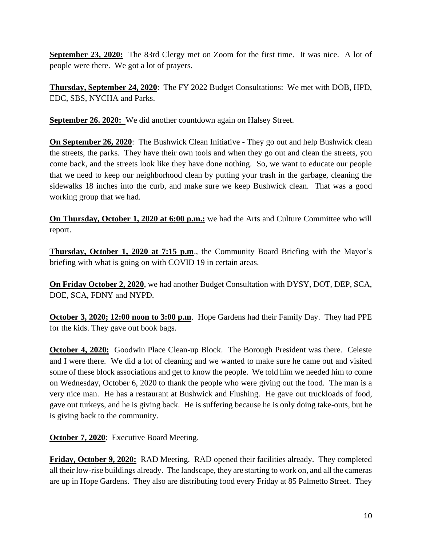**September 23, 2020:** The 83rd Clergy met on Zoom for the first time. It was nice. A lot of people were there. We got a lot of prayers.

**Thursday, September 24, 2020**: The FY 2022 Budget Consultations: We met with DOB, HPD, EDC, SBS, NYCHA and Parks.

**September 26. 2020:** We did another countdown again on Halsey Street.

**On September 26, 2020:** The Bushwick Clean Initiative - They go out and help Bushwick clean the streets, the parks. They have their own tools and when they go out and clean the streets, you come back, and the streets look like they have done nothing. So, we want to educate our people that we need to keep our neighborhood clean by putting your trash in the garbage, cleaning the sidewalks 18 inches into the curb, and make sure we keep Bushwick clean. That was a good working group that we had.

**On Thursday, October 1, 2020 at 6:00 p.m.:** we had the Arts and Culture Committee who will report.

**Thursday, October 1, 2020 at 7:15 p.m**., the Community Board Briefing with the Mayor's briefing with what is going on with COVID 19 in certain areas.

**On Friday October 2, 2020**, we had another Budget Consultation with DYSY, DOT, DEP, SCA, DOE, SCA, FDNY and NYPD.

**October 3, 2020; 12:00 noon to 3:00 p.m**. Hope Gardens had their Family Day. They had PPE for the kids. They gave out book bags.

**October 4, 2020:** Goodwin Place Clean-up Block. The Borough President was there. Celeste and I were there. We did a lot of cleaning and we wanted to make sure he came out and visited some of these block associations and get to know the people. We told him we needed him to come on Wednesday, October 6, 2020 to thank the people who were giving out the food. The man is a very nice man. He has a restaurant at Bushwick and Flushing. He gave out truckloads of food, gave out turkeys, and he is giving back. He is suffering because he is only doing take-outs, but he is giving back to the community.

**October 7, 2020**: Executive Board Meeting.

**Friday, October 9, 2020:** RAD Meeting. RAD opened their facilities already. They completed all their low-rise buildings already. The landscape, they are starting to work on, and all the cameras are up in Hope Gardens. They also are distributing food every Friday at 85 Palmetto Street. They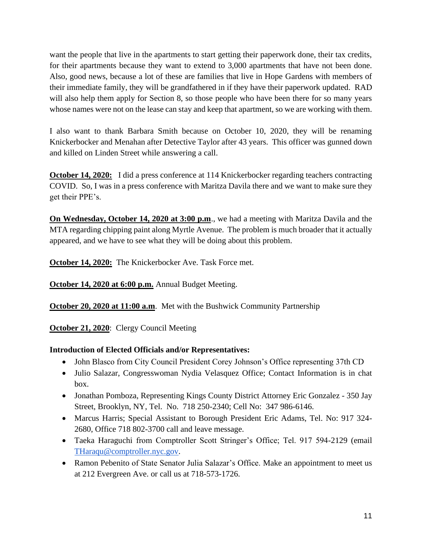want the people that live in the apartments to start getting their paperwork done, their tax credits, for their apartments because they want to extend to 3,000 apartments that have not been done. Also, good news, because a lot of these are families that live in Hope Gardens with members of their immediate family, they will be grandfathered in if they have their paperwork updated. RAD will also help them apply for Section 8, so those people who have been there for so many years whose names were not on the lease can stay and keep that apartment, so we are working with them.

I also want to thank Barbara Smith because on October 10, 2020, they will be renaming Knickerbocker and Menahan after Detective Taylor after 43 years. This officer was gunned down and killed on Linden Street while answering a call.

**October 14, 2020:** I did a press conference at 114 Knickerbocker regarding teachers contracting COVID. So, I was in a press conference with Maritza Davila there and we want to make sure they get their PPE's.

**On Wednesday, October 14, 2020 at 3:00 p.m**., we had a meeting with Maritza Davila and the MTA regarding chipping paint along Myrtle Avenue. The problem is much broader that it actually appeared, and we have to see what they will be doing about this problem.

**October 14, 2020:** The Knickerbocker Ave. Task Force met.

**October 14, 2020 at 6:00 p.m.** Annual Budget Meeting.

**October 20, 2020 at 11:00 a.m.** Met with the Bushwick Community Partnership

**October 21, 2020**: Clergy Council Meeting

#### **Introduction of Elected Officials and/or Representatives:**

- John Blasco from City Council President Corey Johnson's Office representing 37th CD
- Julio Salazar, Congresswoman Nydia Velasquez Office; Contact Information is in chat box.
- Jonathan Pomboza, Representing Kings County District Attorney Eric Gonzalez 350 Jay Street, Brooklyn, NY, Tel. No. 718 250-2340; Cell No: 347 986-6146.
- Marcus Harris; Special Assistant to Borough President Eric Adams, Tel. No: 917 324- 2680, Office 718 802-3700 call and leave message.
- Taeka Haraguchi from Comptroller Scott Stringer's Office; Tel. 917 594-2129 (email [THaraqu@comptroller.nyc.gov.](mailto:THaraqu@comptroller.nyc.gov)
- Ramon Pebenito of State Senator Julia Salazar's Office. Make an appointment to meet us at 212 Evergreen Ave. or call us at 718-573-1726.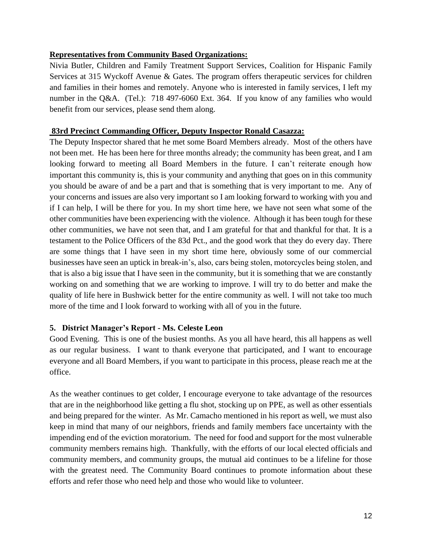#### **Representatives from Community Based Organizations:**

Nivia Butler, Children and Family Treatment Support Services, Coalition for Hispanic Family Services at 315 Wyckoff Avenue & Gates. The program offers therapeutic services for children and families in their homes and remotely. Anyone who is interested in family services, I left my number in the Q&A. (Tel.): 718 497-6060 Ext. 364. If you know of any families who would benefit from our services, please send them along.

#### **83rd Precinct Commanding Officer, Deputy Inspector Ronald Casazza:**

The Deputy Inspector shared that he met some Board Members already. Most of the others have not been met. He has been here for three months already; the community has been great, and I am looking forward to meeting all Board Members in the future. I can't reiterate enough how important this community is, this is your community and anything that goes on in this community you should be aware of and be a part and that is something that is very important to me. Any of your concerns and issues are also very important so I am looking forward to working with you and if I can help, I will be there for you. In my short time here, we have not seen what some of the other communities have been experiencing with the violence. Although it has been tough for these other communities, we have not seen that, and I am grateful for that and thankful for that. It is a testament to the Police Officers of the 83d Pct., and the good work that they do every day. There are some things that I have seen in my short time here, obviously some of our commercial businesses have seen an uptick in break-in's, also, cars being stolen, motorcycles being stolen, and that is also a big issue that I have seen in the community, but it is something that we are constantly working on and something that we are working to improve. I will try to do better and make the quality of life here in Bushwick better for the entire community as well. I will not take too much more of the time and I look forward to working with all of you in the future.

#### **5. District Manager's Report - Ms. Celeste Leon**

Good Evening. This is one of the busiest months. As you all have heard, this all happens as well as our regular business. I want to thank everyone that participated, and I want to encourage everyone and all Board Members, if you want to participate in this process, please reach me at the office.

As the weather continues to get colder, I encourage everyone to take advantage of the resources that are in the neighborhood like getting a flu shot, stocking up on PPE, as well as other essentials and being prepared for the winter. As Mr. Camacho mentioned in his report as well, we must also keep in mind that many of our neighbors, friends and family members face uncertainty with the impending end of the eviction moratorium. The need for food and support for the most vulnerable community members remains high. Thankfully, with the efforts of our local elected officials and community members, and community groups, the mutual aid continues to be a lifeline for those with the greatest need. The Community Board continues to promote information about these efforts and refer those who need help and those who would like to volunteer.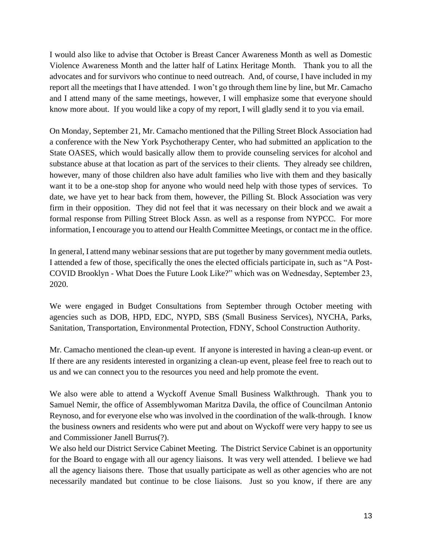I would also like to advise that October is Breast Cancer Awareness Month as well as Domestic Violence Awareness Month and the latter half of Latinx Heritage Month. Thank you to all the advocates and for survivors who continue to need outreach. And, of course, I have included in my report all the meetings that I have attended. I won't go through them line by line, but Mr. Camacho and I attend many of the same meetings, however, I will emphasize some that everyone should know more about. If you would like a copy of my report, I will gladly send it to you via email.

On Monday, September 21, Mr. Camacho mentioned that the Pilling Street Block Association had a conference with the New York Psychotherapy Center, who had submitted an application to the State OASES, which would basically allow them to provide counseling services for alcohol and substance abuse at that location as part of the services to their clients. They already see children, however, many of those children also have adult families who live with them and they basically want it to be a one-stop shop for anyone who would need help with those types of services. To date, we have yet to hear back from them, however, the Pilling St. Block Association was very firm in their opposition. They did not feel that it was necessary on their block and we await a formal response from Pilling Street Block Assn. as well as a response from NYPCC. For more information, I encourage you to attend our Health Committee Meetings, or contact me in the office.

In general, I attend many webinar sessions that are put together by many government media outlets. I attended a few of those, specifically the ones the elected officials participate in, such as "A Post-COVID Brooklyn - What Does the Future Look Like?" which was on Wednesday, September 23, 2020.

We were engaged in Budget Consultations from September through October meeting with agencies such as DOB, HPD, EDC, NYPD, SBS (Small Business Services), NYCHA, Parks, Sanitation, Transportation, Environmental Protection, FDNY, School Construction Authority.

Mr. Camacho mentioned the clean-up event. If anyone is interested in having a clean-up event. or If there are any residents interested in organizing a clean-up event, please feel free to reach out to us and we can connect you to the resources you need and help promote the event.

We also were able to attend a Wyckoff Avenue Small Business Walkthrough. Thank you to Samuel Nemir, the office of Assemblywoman Maritza Davila, the office of Councilman Antonio Reynoso, and for everyone else who was involved in the coordination of the walk-through. I know the business owners and residents who were put and about on Wyckoff were very happy to see us and Commissioner Janell Burrus(?).

We also held our District Service Cabinet Meeting. The District Service Cabinet is an opportunity for the Board to engage with all our agency liaisons. It was very well attended. I believe we had all the agency liaisons there. Those that usually participate as well as other agencies who are not necessarily mandated but continue to be close liaisons. Just so you know, if there are any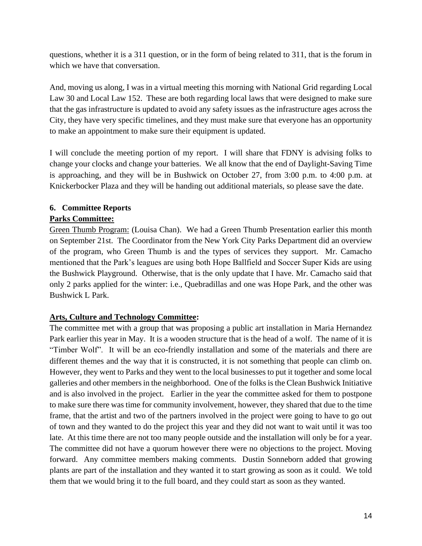questions, whether it is a 311 question, or in the form of being related to 311, that is the forum in which we have that conversation.

And, moving us along, I was in a virtual meeting this morning with National Grid regarding Local Law 30 and Local Law 152. These are both regarding local laws that were designed to make sure that the gas infrastructure is updated to avoid any safety issues as the infrastructure ages across the City, they have very specific timelines, and they must make sure that everyone has an opportunity to make an appointment to make sure their equipment is updated.

I will conclude the meeting portion of my report. I will share that FDNY is advising folks to change your clocks and change your batteries. We all know that the end of Daylight-Saving Time is approaching, and they will be in Bushwick on October 27, from 3:00 p.m. to 4:00 p.m. at Knickerbocker Plaza and they will be handing out additional materials, so please save the date.

# **6. Committee Reports**

### **Parks Committee:**

Green Thumb Program: (Louisa Chan). We had a Green Thumb Presentation earlier this month on September 21st. The Coordinator from the New York City Parks Department did an overview of the program, who Green Thumb is and the types of services they support. Mr. Camacho mentioned that the Park's leagues are using both Hope Ballfield and Soccer Super Kids are using the Bushwick Playground. Otherwise, that is the only update that I have. Mr. Camacho said that only 2 parks applied for the winter: i.e., Quebradillas and one was Hope Park, and the other was Bushwick L Park.

# **Arts, Culture and Technology Committee:**

The committee met with a group that was proposing a public art installation in Maria Hernandez Park earlier this year in May. It is a wooden structure that is the head of a wolf. The name of it is "Timber Wolf". It will be an eco-friendly installation and some of the materials and there are different themes and the way that it is constructed, it is not something that people can climb on. However, they went to Parks and they went to the local businesses to put it together and some local galleries and other members in the neighborhood. One of the folks is the Clean Bushwick Initiative and is also involved in the project. Earlier in the year the committee asked for them to postpone to make sure there was time for community involvement, however, they shared that due to the time frame, that the artist and two of the partners involved in the project were going to have to go out of town and they wanted to do the project this year and they did not want to wait until it was too late. At this time there are not too many people outside and the installation will only be for a year. The committee did not have a quorum however there were no objections to the project. Moving forward. Any committee members making comments. Dustin Sonneborn added that growing plants are part of the installation and they wanted it to start growing as soon as it could. We told them that we would bring it to the full board, and they could start as soon as they wanted.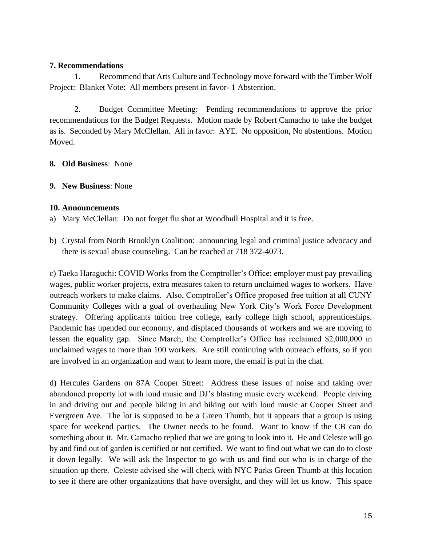#### **7. Recommendations**

1. Recommend that Arts Culture and Technology move forward with the Timber Wolf Project: Blanket Vote: All members present in favor- 1 Abstention.

2. Budget Committee Meeting: Pending recommendations to approve the prior recommendations for the Budget Requests. Motion made by Robert Camacho to take the budget as is. Seconded by Mary McClellan. All in favor: AYE. No opposition, No abstentions. Motion Moved.

- **8. Old Business**:None
- **9. New Business**: None

#### **10. Announcements**

- a) Mary McClellan: Do not forget flu shot at Woodhull Hospital and it is free.
- b) Crystal from North Brooklyn Coalition: announcing legal and criminal justice advocacy and there is sexual abuse counseling. Can be reached at 718 372-4073.

c) Taeka Haraguchi: COVID Works from the Comptroller's Office; employer must pay prevailing wages, public worker projects, extra measures taken to return unclaimed wages to workers. Have outreach workers to make claims. Also, Comptroller's Office proposed free tuition at all CUNY Community Colleges with a goal of overhauling New York City's Work Force Development strategy. Offering applicants tuition free college, early college high school, apprenticeships. Pandemic has upended our economy, and displaced thousands of workers and we are moving to lessen the equality gap. Since March, the Comptroller's Office has reclaimed \$2,000,000 in unclaimed wages to more than 100 workers. Are still continuing with outreach efforts, so if you are involved in an organization and want to learn more, the email is put in the chat.

d) Hercules Gardens on 87A Cooper Street: Address these issues of noise and taking over abandoned property lot with loud music and DJ's blasting music every weekend. People driving in and driving out and people biking in and biking out with loud music at Cooper Street and Evergreen Ave. The lot is supposed to be a Green Thumb, but it appears that a group is using space for weekend parties. The Owner needs to be found. Want to know if the CB can do something about it. Mr. Camacho replied that we are going to look into it. He and Celeste will go by and find out of garden is certified or not certified. We want to find out what we can do to close it down legally. We will ask the Inspector to go with us and find out who is in charge of the situation up there. Celeste advised she will check with NYC Parks Green Thumb at this location to see if there are other organizations that have oversight, and they will let us know. This space